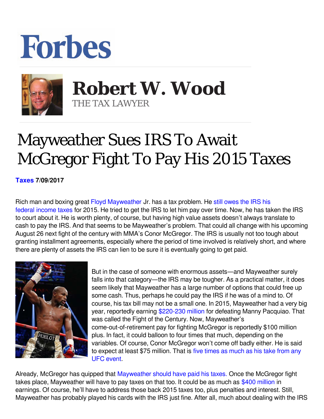## **Forbes**



 **Robert W. Wood** THE TAX LAWYER

## Mayweather Sues IRS To Await McGregor Fight To Pay His 2015 Taxes

**[Taxes](https://www.forbes.com/taxes) 7/09/2017** 

Rich man and boxing great [Floyd Mayweather](https://www.google.com/url?sa=t&rct=j&q=&esrc=s&source=web&cd=3&cad=rja&uact=8&ved=0ahUKEwiY3cyK_s7NAhUY9GMKHaaSC5sQFggvMAI&url=http://www.forbes.com/profile/floyd-mayweather/&usg=AFQjCNFvmEYRJjY7JRlvVK7F7a7USeIVPw) Jr. has a tax problem. He [still owes the IRS his](http://www.boxingscene.com/mayweather-owes-taxes-asks-irs-wait-mcgregor-fight--118300?utm_source=dlvr.it&utm_medium=twitter) [federal income taxes](http://www.boxingscene.com/mayweather-owes-taxes-asks-irs-wait-mcgregor-fight--118300?utm_source=dlvr.it&utm_medium=twitter) for 2015. He tried to get the IRS to let him pay over time. Now, he has taken the IRS to court about it. He is worth plenty, of course, but having high value assets doesn't always translate to cash to pay the IRS. And that seems to be Mayweather's problem. That could all change with his upcoming August 26 next fight of the century with MMA's Conor McGregor. The IRS is usually not too tough about granting installment agreements, especially where the period of time involved is relatively short, and where there are plenty of assets the IRS can lien to be sure it is eventually going to get paid.



But in the case of someone with enormous assets—and Mayweather surely falls into that category—the IRS may be tougher. As a practical matter, it does seem likely that Mayweather has a large number of options that could free up some cash. Thus, perhaps he could pay the IRS if he was of a mind to. Of course, his tax bill may not be a small one. In 2015, Mayweather had a very big year, reportedly earning [\\$220-230 million](http://www.espn.com/boxing/story/_/id/13181452/floyd-mayweather-make-least-220-million-fight-manny-pacquiao) for defeating Manny Pacquiao. That was called the Fight of the Century. Now, Mayweather's come-out-of-retirement pay for fighting McGregor is reportedly \$100 million plus. In fact, it could balloon to four times that much, depending on the variables. Of course, Conor McGregor won't come off badly either. He is said to expect at least \$75 million. That is [five times as much as his take from any](https://www.bjpenn.com/mma-news/nate-diaz/conor-mcgregor-nate-diaz-earn-estimated-15-million-13-million-respectively-ufc-202/) [UFC event](https://www.bjpenn.com/mma-news/nate-diaz/conor-mcgregor-nate-diaz-earn-estimated-15-million-13-million-respectively-ufc-202/).

Already, McGregor has quipped that [Mayweather should have paid his taxes.](https://www.google.com/url?sa=t&rct=j&q=&esrc=s&source=web&cd=2&cad=rja&uact=8&ved=0ahUKEwjAm-Ww0oDVAhXkzIMKHebtDDAQFggnMAE&url=https://www.forbes.com/sites/robertwood/2017/07/11/mayweather-should-have-paid-his-taxes-jabs-conor-mcgregor/&usg=AFQjCNFaR5K6cIe4z7ndWq_-F1KIXSqbHg) Once the McGregor fight takes place, Mayweather will have to pay taxes on that too. It could be as much as [\\$400 million](https://www.forbes.com/sites/brianmazique/2017/06/16/the-estimated-purses-for-floyd-mayweather-vs-conor-mcgregor-fight-are-staggering) in earnings. Of course, he'll have to address those back 2015 taxes too, plus penalties and interest. Still, Mayweather has probably played his cards with the IRS just fine. After all, much about dealing with the IRS